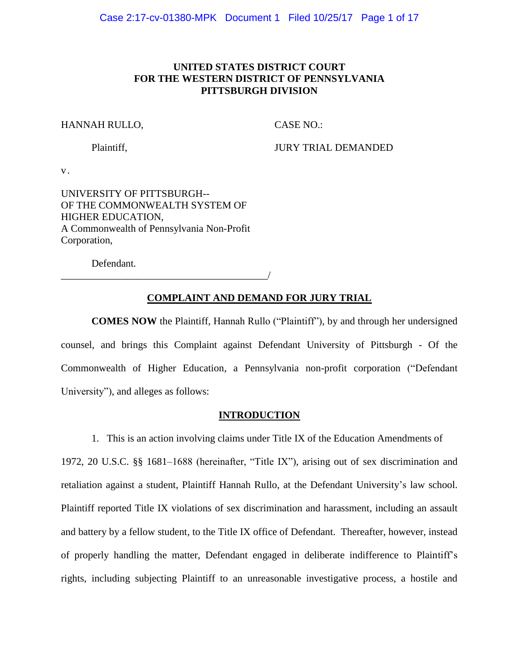### **UNITED STATES DISTRICT COURT FOR THE WESTERN DISTRICT OF PENNSYLVANIA PITTSBURGH DIVISION**

#### HANNAH RULLO, CASE NO.:

Plaintiff, JURY TRIAL DEMANDED

v.

UNIVERSITY OF PITTSBURGH-- OF THE COMMONWEALTH SYSTEM OF HIGHER EDUCATION, A Commonwealth of Pennsylvania Non-Profit Corporation,

Defendant.

\_\_\_\_\_\_\_\_\_\_\_\_\_\_\_\_\_\_\_\_\_\_\_\_\_\_\_\_\_\_\_\_\_\_\_\_\_\_\_\_\_/

# **COMPLAINT AND DEMAND FOR JURY TRIAL**

**COMES NOW** the Plaintiff, Hannah Rullo ("Plaintiff"), by and through her undersigned counsel, and brings this Complaint against Defendant University of Pittsburgh - Of the Commonwealth of Higher Education, a Pennsylvania non-profit corporation ("Defendant University"), and alleges as follows:

### **INTRODUCTION**

1. This is an action involving claims under Title IX of the Education Amendments of 1972, 20 U.S.C. §§ 1681–1688 (hereinafter, "Title IX"), arising out of sex discrimination and retaliation against a student, Plaintiff Hannah Rullo, at the Defendant University's law school. Plaintiff reported Title IX violations of sex discrimination and harassment, including an assault and battery by a fellow student, to the Title IX office of Defendant. Thereafter, however, instead of properly handling the matter, Defendant engaged in deliberate indifference to Plaintiff's rights, including subjecting Plaintiff to an unreasonable investigative process, a hostile and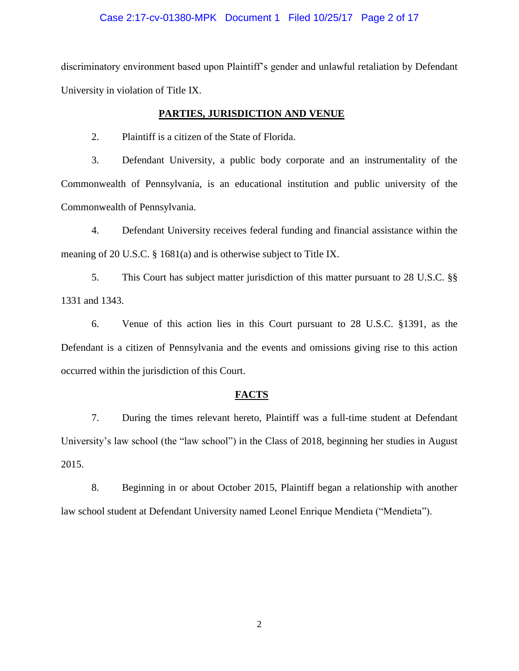### Case 2:17-cv-01380-MPK Document 1 Filed 10/25/17 Page 2 of 17

discriminatory environment based upon Plaintiff's gender and unlawful retaliation by Defendant University in violation of Title IX.

#### **PARTIES, JURISDICTION AND VENUE**

2. Plaintiff is a citizen of the State of Florida.

3. Defendant University, a public body corporate and an instrumentality of the Commonwealth of Pennsylvania, is an educational institution and public university of the Commonwealth of Pennsylvania.

4. Defendant University receives federal funding and financial assistance within the meaning of 20 U.S.C. § 1681(a) and is otherwise subject to Title IX.

5. This Court has subject matter jurisdiction of this matter pursuant to 28 U.S.C. §§ 1331 and 1343.

6. Venue of this action lies in this Court pursuant to 28 U.S.C. §1391, as the Defendant is a citizen of Pennsylvania and the events and omissions giving rise to this action occurred within the jurisdiction of this Court.

### **FACTS**

7. During the times relevant hereto, Plaintiff was a full-time student at Defendant University's law school (the "law school") in the Class of 2018, beginning her studies in August 2015.

8. Beginning in or about October 2015, Plaintiff began a relationship with another law school student at Defendant University named Leonel Enrique Mendieta ("Mendieta").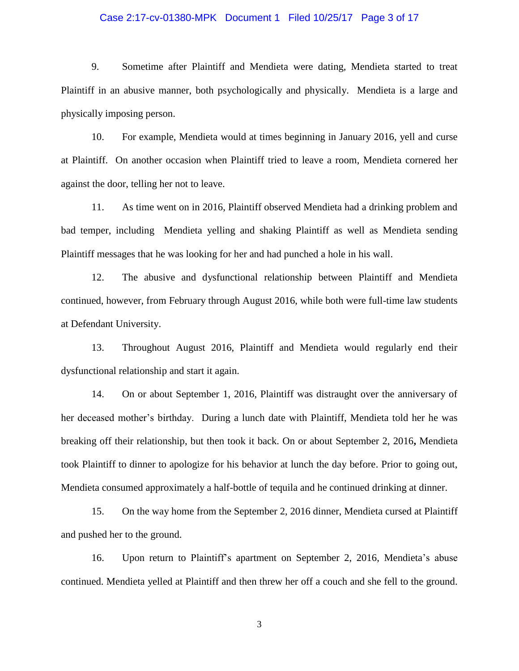#### Case 2:17-cv-01380-MPK Document 1 Filed 10/25/17 Page 3 of 17

9. Sometime after Plaintiff and Mendieta were dating, Mendieta started to treat Plaintiff in an abusive manner, both psychologically and physically. Mendieta is a large and physically imposing person.

10. For example, Mendieta would at times beginning in January 2016, yell and curse at Plaintiff. On another occasion when Plaintiff tried to leave a room, Mendieta cornered her against the door, telling her not to leave.

11. As time went on in 2016, Plaintiff observed Mendieta had a drinking problem and bad temper, including Mendieta yelling and shaking Plaintiff as well as Mendieta sending Plaintiff messages that he was looking for her and had punched a hole in his wall.

12. The abusive and dysfunctional relationship between Plaintiff and Mendieta continued, however, from February through August 2016, while both were full-time law students at Defendant University.

13. Throughout August 2016, Plaintiff and Mendieta would regularly end their dysfunctional relationship and start it again.

14. On or about September 1, 2016, Plaintiff was distraught over the anniversary of her deceased mother's birthday. During a lunch date with Plaintiff, Mendieta told her he was breaking off their relationship, but then took it back. On or about September 2, 2016**,** Mendieta took Plaintiff to dinner to apologize for his behavior at lunch the day before. Prior to going out, Mendieta consumed approximately a half-bottle of tequila and he continued drinking at dinner.

15. On the way home from the September 2, 2016 dinner, Mendieta cursed at Plaintiff and pushed her to the ground.

16. Upon return to Plaintiff's apartment on September 2, 2016, Mendieta's abuse continued. Mendieta yelled at Plaintiff and then threw her off a couch and she fell to the ground.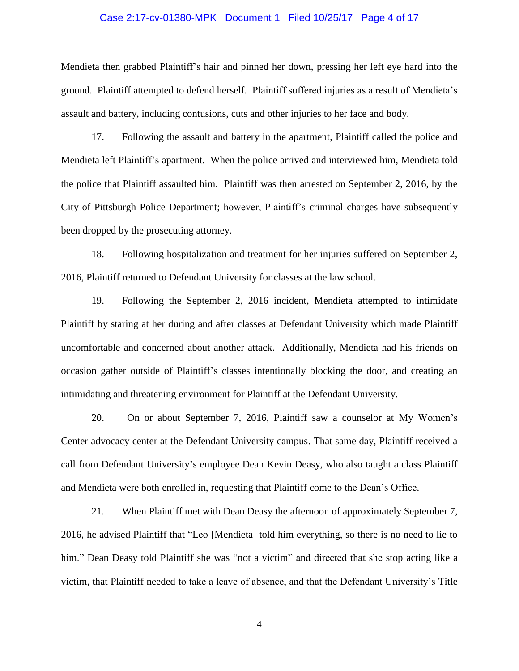#### Case 2:17-cv-01380-MPK Document 1 Filed 10/25/17 Page 4 of 17

Mendieta then grabbed Plaintiff's hair and pinned her down, pressing her left eye hard into the ground. Plaintiff attempted to defend herself. Plaintiff suffered injuries as a result of Mendieta's assault and battery, including contusions, cuts and other injuries to her face and body.

17. Following the assault and battery in the apartment, Plaintiff called the police and Mendieta left Plaintiff's apartment. When the police arrived and interviewed him, Mendieta told the police that Plaintiff assaulted him. Plaintiff was then arrested on September 2, 2016, by the City of Pittsburgh Police Department; however, Plaintiff's criminal charges have subsequently been dropped by the prosecuting attorney.

18. Following hospitalization and treatment for her injuries suffered on September 2, 2016, Plaintiff returned to Defendant University for classes at the law school.

19. Following the September 2, 2016 incident, Mendieta attempted to intimidate Plaintiff by staring at her during and after classes at Defendant University which made Plaintiff uncomfortable and concerned about another attack. Additionally, Mendieta had his friends on occasion gather outside of Plaintiff's classes intentionally blocking the door, and creating an intimidating and threatening environment for Plaintiff at the Defendant University.

20. On or about September 7, 2016, Plaintiff saw a counselor at My Women's Center advocacy center at the Defendant University campus. That same day, Plaintiff received a call from Defendant University's employee Dean Kevin Deasy, who also taught a class Plaintiff and Mendieta were both enrolled in, requesting that Plaintiff come to the Dean's Office.

21. When Plaintiff met with Dean Deasy the afternoon of approximately September 7, 2016, he advised Plaintiff that "Leo [Mendieta] told him everything, so there is no need to lie to him." Dean Deasy told Plaintiff she was "not a victim" and directed that she stop acting like a victim, that Plaintiff needed to take a leave of absence, and that the Defendant University's Title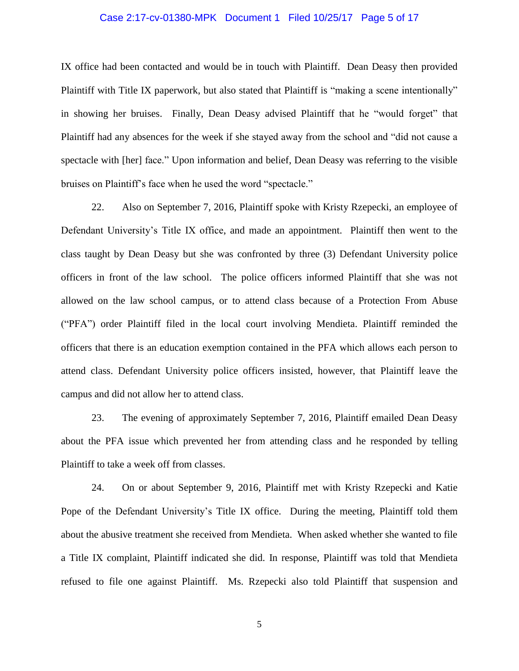#### Case 2:17-cv-01380-MPK Document 1 Filed 10/25/17 Page 5 of 17

IX office had been contacted and would be in touch with Plaintiff. Dean Deasy then provided Plaintiff with Title IX paperwork, but also stated that Plaintiff is "making a scene intentionally" in showing her bruises. Finally, Dean Deasy advised Plaintiff that he "would forget" that Plaintiff had any absences for the week if she stayed away from the school and "did not cause a spectacle with [her] face." Upon information and belief, Dean Deasy was referring to the visible bruises on Plaintiff's face when he used the word "spectacle."

22. Also on September 7, 2016, Plaintiff spoke with Kristy Rzepecki, an employee of Defendant University's Title IX office, and made an appointment. Plaintiff then went to the class taught by Dean Deasy but she was confronted by three (3) Defendant University police officers in front of the law school. The police officers informed Plaintiff that she was not allowed on the law school campus, or to attend class because of a Protection From Abuse ("PFA") order Plaintiff filed in the local court involving Mendieta. Plaintiff reminded the officers that there is an education exemption contained in the PFA which allows each person to attend class. Defendant University police officers insisted, however, that Plaintiff leave the campus and did not allow her to attend class.

23. The evening of approximately September 7, 2016, Plaintiff emailed Dean Deasy about the PFA issue which prevented her from attending class and he responded by telling Plaintiff to take a week off from classes.

24. On or about September 9, 2016, Plaintiff met with Kristy Rzepecki and Katie Pope of the Defendant University's Title IX office. During the meeting, Plaintiff told them about the abusive treatment she received from Mendieta. When asked whether she wanted to file a Title IX complaint, Plaintiff indicated she did. In response, Plaintiff was told that Mendieta refused to file one against Plaintiff. Ms. Rzepecki also told Plaintiff that suspension and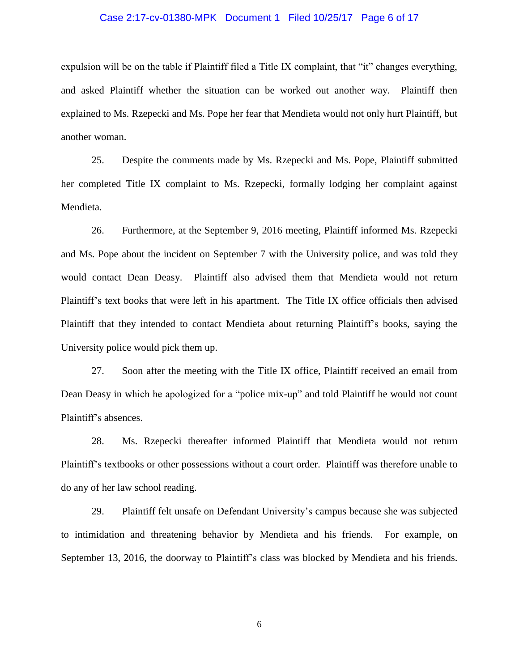#### Case 2:17-cv-01380-MPK Document 1 Filed 10/25/17 Page 6 of 17

expulsion will be on the table if Plaintiff filed a Title IX complaint, that "it" changes everything, and asked Plaintiff whether the situation can be worked out another way. Plaintiff then explained to Ms. Rzepecki and Ms. Pope her fear that Mendieta would not only hurt Plaintiff, but another woman.

25. Despite the comments made by Ms. Rzepecki and Ms. Pope, Plaintiff submitted her completed Title IX complaint to Ms. Rzepecki, formally lodging her complaint against Mendieta.

26. Furthermore, at the September 9, 2016 meeting, Plaintiff informed Ms. Rzepecki and Ms. Pope about the incident on September 7 with the University police, and was told they would contact Dean Deasy. Plaintiff also advised them that Mendieta would not return Plaintiff's text books that were left in his apartment. The Title IX office officials then advised Plaintiff that they intended to contact Mendieta about returning Plaintiff's books, saying the University police would pick them up.

27. Soon after the meeting with the Title IX office, Plaintiff received an email from Dean Deasy in which he apologized for a "police mix-up" and told Plaintiff he would not count Plaintiff's absences.

28. Ms. Rzepecki thereafter informed Plaintiff that Mendieta would not return Plaintiff's textbooks or other possessions without a court order. Plaintiff was therefore unable to do any of her law school reading.

29. Plaintiff felt unsafe on Defendant University's campus because she was subjected to intimidation and threatening behavior by Mendieta and his friends. For example, on September 13, 2016, the doorway to Plaintiff's class was blocked by Mendieta and his friends.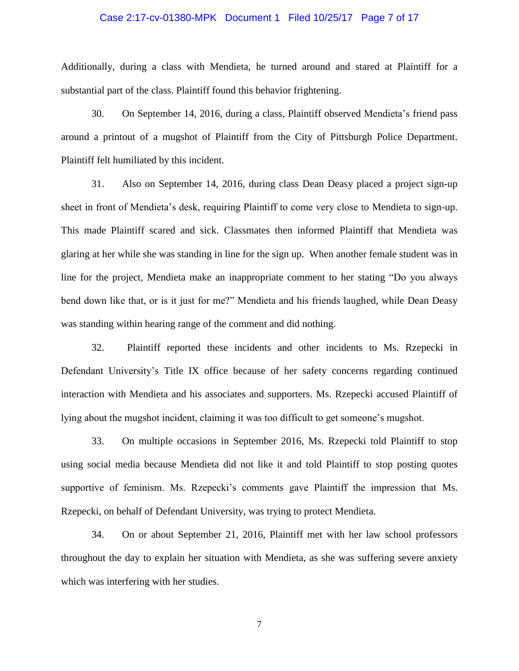#### Case 2:17-cv-01380-MPK Document 1 Filed 10/25/17 Page 7 of 17

Additionally, during a class with Mendieta, he turned around and stared at Plaintiff for a substantial part of the class. Plaintiff found this behavior frightening.

30. On September 14, 2016, during a class, Plaintiff observed Mendieta's friend pass around a printout of a mugshot of Plaintiff from the City of Pittsburgh Police Department. Plaintiff felt humiliated by this incident.

31. Also on September 14, 2016, during class Dean Deasy placed a project sign-up sheet in front of Mendieta's desk, requiring Plaintiff to come very close to Mendieta to sign-up. This made Plaintiff scared and sick. Classmates then informed Plaintiff that Mendieta was glaring at her while she was standing in line for the sign up. When another female student was in line for the project, Mendieta make an inappropriate comment to her stating "Do you always bend down like that, or is it just for me?" Mendieta and his friends laughed, while Dean Deasy was standing within hearing range of the comment and did nothing.

32. Plaintiff reported these incidents and other incidents to Ms. Rzepecki in Defendant University's Title IX office because of her safety concerns regarding continued interaction with Mendieta and his associates and supporters. Ms. Rzepecki accused Plaintiff of lying about the mugshot incident, claiming it was too difficult to get someone's mugshot.

33. On multiple occasions in September 2016, Ms. Rzepecki told Plaintiff to stop using social media because Mendieta did not like it and told Plaintiff to stop posting quotes supportive of feminism. Ms. Rzepecki's comments gave Plaintiff the impression that Ms. Rzepecki, on behalf of Defendant University, was trying to protect Mendieta.

34. On or about September 21, 2016, Plaintiff met with her law school professors throughout the day to explain her situation with Mendieta, as she was suffering severe anxiety which was interfering with her studies.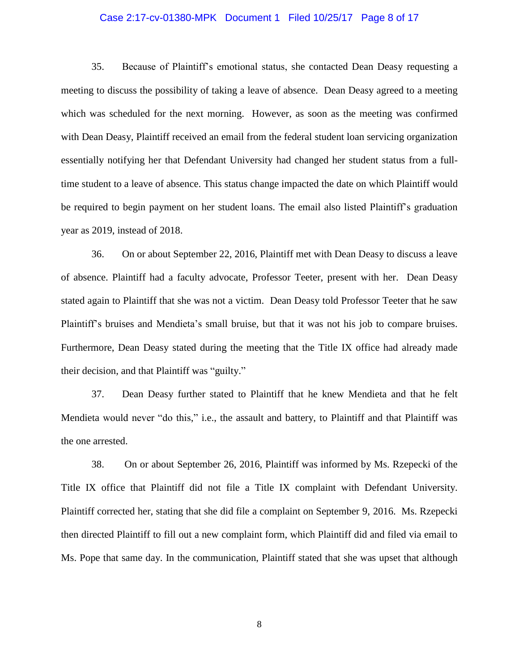#### Case 2:17-cv-01380-MPK Document 1 Filed 10/25/17 Page 8 of 17

35. Because of Plaintiff's emotional status, she contacted Dean Deasy requesting a meeting to discuss the possibility of taking a leave of absence. Dean Deasy agreed to a meeting which was scheduled for the next morning. However, as soon as the meeting was confirmed with Dean Deasy, Plaintiff received an email from the federal student loan servicing organization essentially notifying her that Defendant University had changed her student status from a fulltime student to a leave of absence. This status change impacted the date on which Plaintiff would be required to begin payment on her student loans. The email also listed Plaintiff's graduation year as 2019, instead of 2018.

36. On or about September 22, 2016, Plaintiff met with Dean Deasy to discuss a leave of absence. Plaintiff had a faculty advocate, Professor Teeter, present with her. Dean Deasy stated again to Plaintiff that she was not a victim. Dean Deasy told Professor Teeter that he saw Plaintiff's bruises and Mendieta's small bruise, but that it was not his job to compare bruises. Furthermore, Dean Deasy stated during the meeting that the Title IX office had already made their decision, and that Plaintiff was "guilty."

37. Dean Deasy further stated to Plaintiff that he knew Mendieta and that he felt Mendieta would never "do this," i.e., the assault and battery, to Plaintiff and that Plaintiff was the one arrested.

38. On or about September 26, 2016, Plaintiff was informed by Ms. Rzepecki of the Title IX office that Plaintiff did not file a Title IX complaint with Defendant University. Plaintiff corrected her, stating that she did file a complaint on September 9, 2016. Ms. Rzepecki then directed Plaintiff to fill out a new complaint form, which Plaintiff did and filed via email to Ms. Pope that same day. In the communication, Plaintiff stated that she was upset that although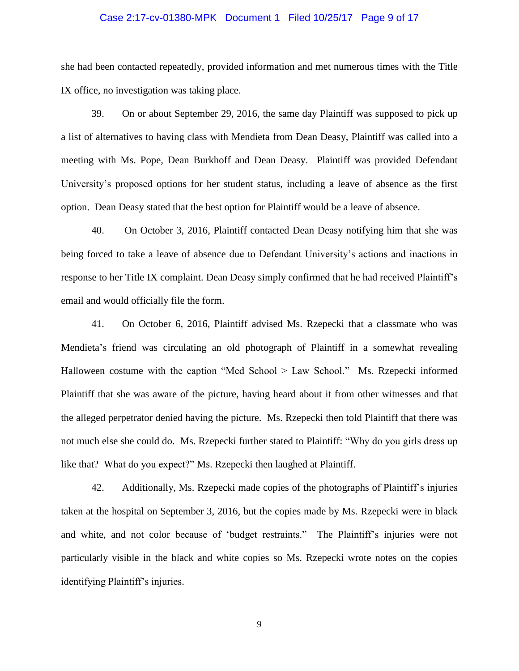#### Case 2:17-cv-01380-MPK Document 1 Filed 10/25/17 Page 9 of 17

she had been contacted repeatedly, provided information and met numerous times with the Title IX office, no investigation was taking place.

39. On or about September 29, 2016, the same day Plaintiff was supposed to pick up a list of alternatives to having class with Mendieta from Dean Deasy, Plaintiff was called into a meeting with Ms. Pope, Dean Burkhoff and Dean Deasy. Plaintiff was provided Defendant University's proposed options for her student status, including a leave of absence as the first option. Dean Deasy stated that the best option for Plaintiff would be a leave of absence.

40. On October 3, 2016, Plaintiff contacted Dean Deasy notifying him that she was being forced to take a leave of absence due to Defendant University's actions and inactions in response to her Title IX complaint. Dean Deasy simply confirmed that he had received Plaintiff's email and would officially file the form.

41. On October 6, 2016, Plaintiff advised Ms. Rzepecki that a classmate who was Mendieta's friend was circulating an old photograph of Plaintiff in a somewhat revealing Halloween costume with the caption "Med School > Law School." Ms. Rzepecki informed Plaintiff that she was aware of the picture, having heard about it from other witnesses and that the alleged perpetrator denied having the picture. Ms. Rzepecki then told Plaintiff that there was not much else she could do. Ms. Rzepecki further stated to Plaintiff: "Why do you girls dress up like that? What do you expect?" Ms. Rzepecki then laughed at Plaintiff.

42. Additionally, Ms. Rzepecki made copies of the photographs of Plaintiff's injuries taken at the hospital on September 3, 2016, but the copies made by Ms. Rzepecki were in black and white, and not color because of 'budget restraints." The Plaintiff's injuries were not particularly visible in the black and white copies so Ms. Rzepecki wrote notes on the copies identifying Plaintiff's injuries.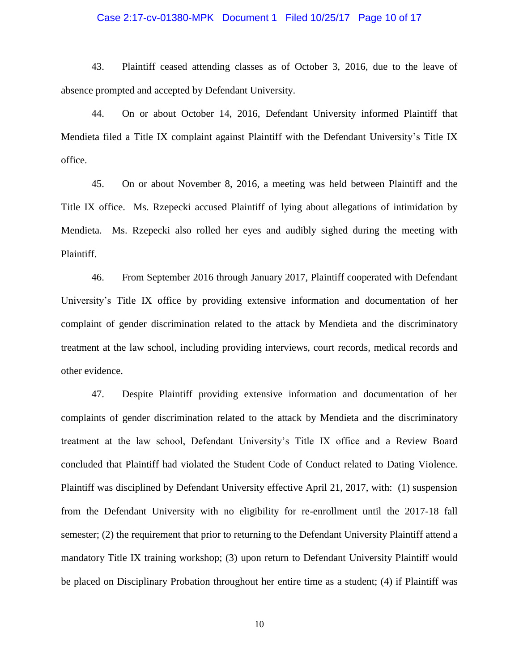#### Case 2:17-cv-01380-MPK Document 1 Filed 10/25/17 Page 10 of 17

43. Plaintiff ceased attending classes as of October 3, 2016, due to the leave of absence prompted and accepted by Defendant University.

44. On or about October 14, 2016, Defendant University informed Plaintiff that Mendieta filed a Title IX complaint against Plaintiff with the Defendant University's Title IX office.

45. On or about November 8, 2016, a meeting was held between Plaintiff and the Title IX office. Ms. Rzepecki accused Plaintiff of lying about allegations of intimidation by Mendieta. Ms. Rzepecki also rolled her eyes and audibly sighed during the meeting with Plaintiff.

46. From September 2016 through January 2017, Plaintiff cooperated with Defendant University's Title IX office by providing extensive information and documentation of her complaint of gender discrimination related to the attack by Mendieta and the discriminatory treatment at the law school, including providing interviews, court records, medical records and other evidence.

47. Despite Plaintiff providing extensive information and documentation of her complaints of gender discrimination related to the attack by Mendieta and the discriminatory treatment at the law school, Defendant University's Title IX office and a Review Board concluded that Plaintiff had violated the Student Code of Conduct related to Dating Violence. Plaintiff was disciplined by Defendant University effective April 21, 2017, with: (1) suspension from the Defendant University with no eligibility for re-enrollment until the 2017-18 fall semester; (2) the requirement that prior to returning to the Defendant University Plaintiff attend a mandatory Title IX training workshop; (3) upon return to Defendant University Plaintiff would be placed on Disciplinary Probation throughout her entire time as a student; (4) if Plaintiff was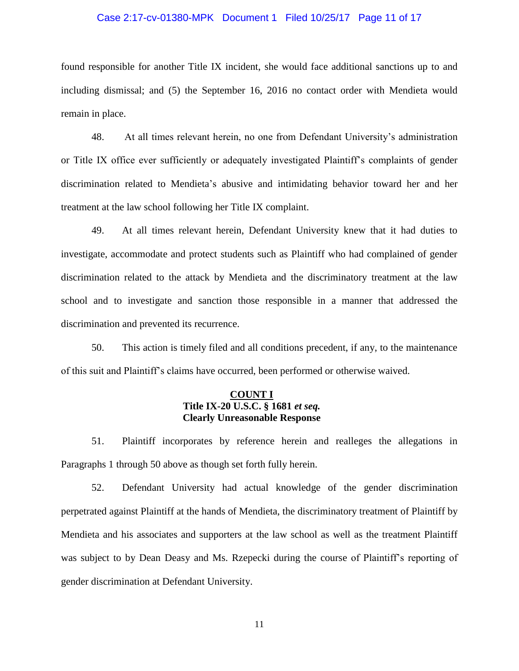## Case 2:17-cv-01380-MPK Document 1 Filed 10/25/17 Page 11 of 17

found responsible for another Title IX incident, she would face additional sanctions up to and including dismissal; and (5) the September 16, 2016 no contact order with Mendieta would remain in place.

48. At all times relevant herein, no one from Defendant University's administration or Title IX office ever sufficiently or adequately investigated Plaintiff's complaints of gender discrimination related to Mendieta's abusive and intimidating behavior toward her and her treatment at the law school following her Title IX complaint.

49. At all times relevant herein, Defendant University knew that it had duties to investigate, accommodate and protect students such as Plaintiff who had complained of gender discrimination related to the attack by Mendieta and the discriminatory treatment at the law school and to investigate and sanction those responsible in a manner that addressed the discrimination and prevented its recurrence.

50. This action is timely filed and all conditions precedent, if any, to the maintenance of this suit and Plaintiff's claims have occurred, been performed or otherwise waived.

## **COUNT I Title IX-20 U.S.C. § 1681** *et seq.* **Clearly Unreasonable Response**

51. Plaintiff incorporates by reference herein and realleges the allegations in Paragraphs 1 through 50 above as though set forth fully herein.

52. Defendant University had actual knowledge of the gender discrimination perpetrated against Plaintiff at the hands of Mendieta, the discriminatory treatment of Plaintiff by Mendieta and his associates and supporters at the law school as well as the treatment Plaintiff was subject to by Dean Deasy and Ms. Rzepecki during the course of Plaintiff's reporting of gender discrimination at Defendant University.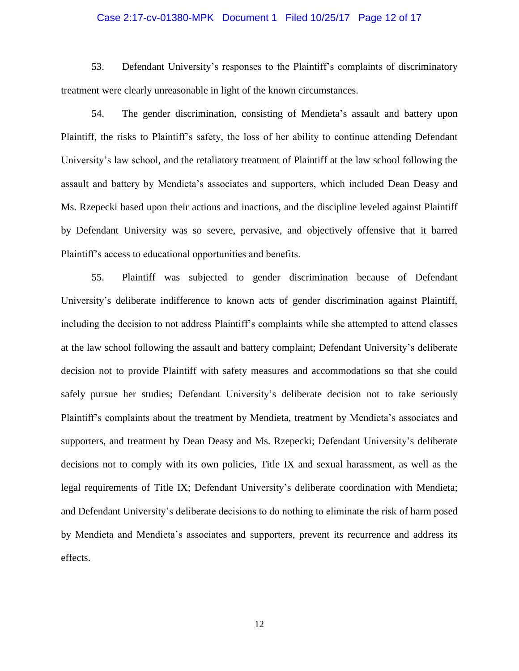#### Case 2:17-cv-01380-MPK Document 1 Filed 10/25/17 Page 12 of 17

53. Defendant University's responses to the Plaintiff's complaints of discriminatory treatment were clearly unreasonable in light of the known circumstances.

54. The gender discrimination, consisting of Mendieta's assault and battery upon Plaintiff, the risks to Plaintiff's safety, the loss of her ability to continue attending Defendant University's law school, and the retaliatory treatment of Plaintiff at the law school following the assault and battery by Mendieta's associates and supporters, which included Dean Deasy and Ms. Rzepecki based upon their actions and inactions, and the discipline leveled against Plaintiff by Defendant University was so severe, pervasive, and objectively offensive that it barred Plaintiff's access to educational opportunities and benefits.

55. Plaintiff was subjected to gender discrimination because of Defendant University's deliberate indifference to known acts of gender discrimination against Plaintiff, including the decision to not address Plaintiff's complaints while she attempted to attend classes at the law school following the assault and battery complaint; Defendant University's deliberate decision not to provide Plaintiff with safety measures and accommodations so that she could safely pursue her studies; Defendant University's deliberate decision not to take seriously Plaintiff's complaints about the treatment by Mendieta, treatment by Mendieta's associates and supporters, and treatment by Dean Deasy and Ms. Rzepecki; Defendant University's deliberate decisions not to comply with its own policies, Title IX and sexual harassment, as well as the legal requirements of Title IX; Defendant University's deliberate coordination with Mendieta; and Defendant University's deliberate decisions to do nothing to eliminate the risk of harm posed by Mendieta and Mendieta's associates and supporters, prevent its recurrence and address its effects.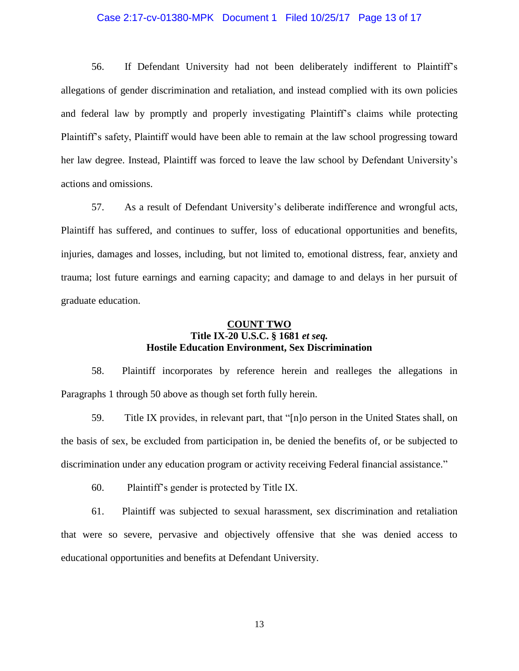#### Case 2:17-cv-01380-MPK Document 1 Filed 10/25/17 Page 13 of 17

56. If Defendant University had not been deliberately indifferent to Plaintiff's allegations of gender discrimination and retaliation, and instead complied with its own policies and federal law by promptly and properly investigating Plaintiff's claims while protecting Plaintiff's safety, Plaintiff would have been able to remain at the law school progressing toward her law degree. Instead, Plaintiff was forced to leave the law school by Defendant University's actions and omissions.

57. As a result of Defendant University's deliberate indifference and wrongful acts, Plaintiff has suffered, and continues to suffer, loss of educational opportunities and benefits, injuries, damages and losses, including, but not limited to, emotional distress, fear, anxiety and trauma; lost future earnings and earning capacity; and damage to and delays in her pursuit of graduate education.

### **COUNT TWO Title IX-20 U.S.C. § 1681** *et seq.* **Hostile Education Environment, Sex Discrimination**

58. Plaintiff incorporates by reference herein and realleges the allegations in Paragraphs 1 through 50 above as though set forth fully herein.

59. Title IX provides, in relevant part, that "[n]o person in the United States shall, on the basis of sex, be excluded from participation in, be denied the benefits of, or be subjected to discrimination under any education program or activity receiving Federal financial assistance."

60. Plaintiff's gender is protected by Title IX.

61. Plaintiff was subjected to sexual harassment, sex discrimination and retaliation that were so severe, pervasive and objectively offensive that she was denied access to educational opportunities and benefits at Defendant University.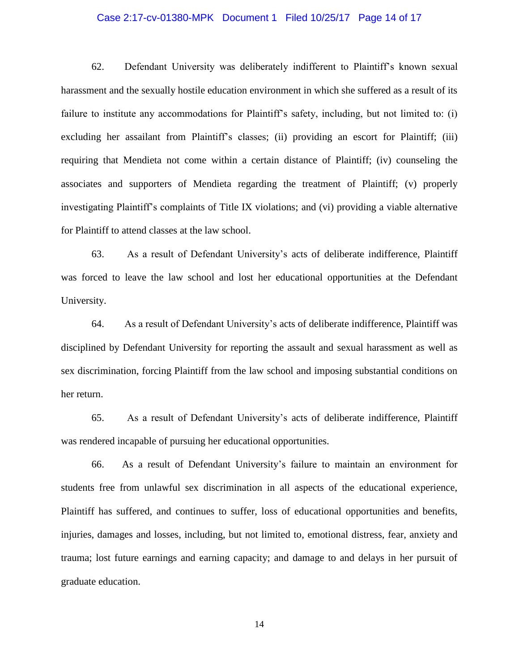#### Case 2:17-cv-01380-MPK Document 1 Filed 10/25/17 Page 14 of 17

62. Defendant University was deliberately indifferent to Plaintiff's known sexual harassment and the sexually hostile education environment in which she suffered as a result of its failure to institute any accommodations for Plaintiff's safety, including, but not limited to: (i) excluding her assailant from Plaintiff's classes; (ii) providing an escort for Plaintiff; (iii) requiring that Mendieta not come within a certain distance of Plaintiff; (iv) counseling the associates and supporters of Mendieta regarding the treatment of Plaintiff; (v) properly investigating Plaintiff's complaints of Title IX violations; and (vi) providing a viable alternative for Plaintiff to attend classes at the law school.

63. As a result of Defendant University's acts of deliberate indifference, Plaintiff was forced to leave the law school and lost her educational opportunities at the Defendant University.

64. As a result of Defendant University's acts of deliberate indifference, Plaintiff was disciplined by Defendant University for reporting the assault and sexual harassment as well as sex discrimination, forcing Plaintiff from the law school and imposing substantial conditions on her return.

65. As a result of Defendant University's acts of deliberate indifference, Plaintiff was rendered incapable of pursuing her educational opportunities.

66. As a result of Defendant University's failure to maintain an environment for students free from unlawful sex discrimination in all aspects of the educational experience, Plaintiff has suffered, and continues to suffer, loss of educational opportunities and benefits, injuries, damages and losses, including, but not limited to, emotional distress, fear, anxiety and trauma; lost future earnings and earning capacity; and damage to and delays in her pursuit of graduate education.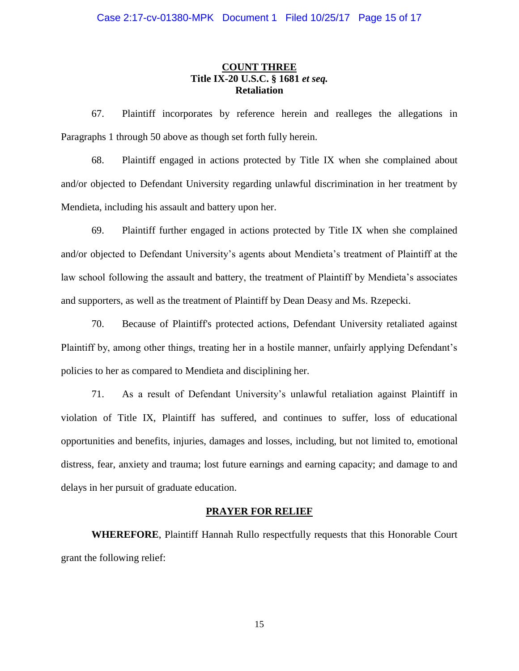### **COUNT THREE Title IX-20 U.S.C. § 1681** *et seq.* **Retaliation**

67. Plaintiff incorporates by reference herein and realleges the allegations in Paragraphs 1 through 50 above as though set forth fully herein.

68. Plaintiff engaged in actions protected by Title IX when she complained about and/or objected to Defendant University regarding unlawful discrimination in her treatment by Mendieta, including his assault and battery upon her.

69. Plaintiff further engaged in actions protected by Title IX when she complained and/or objected to Defendant University's agents about Mendieta's treatment of Plaintiff at the law school following the assault and battery, the treatment of Plaintiff by Mendieta's associates and supporters, as well as the treatment of Plaintiff by Dean Deasy and Ms. Rzepecki.

70. Because of Plaintiff's protected actions, Defendant University retaliated against Plaintiff by, among other things, treating her in a hostile manner, unfairly applying Defendant's policies to her as compared to Mendieta and disciplining her.

71. As a result of Defendant University's unlawful retaliation against Plaintiff in violation of Title IX, Plaintiff has suffered, and continues to suffer, loss of educational opportunities and benefits, injuries, damages and losses, including, but not limited to, emotional distress, fear, anxiety and trauma; lost future earnings and earning capacity; and damage to and delays in her pursuit of graduate education.

#### **PRAYER FOR RELIEF**

**WHEREFORE**, Plaintiff Hannah Rullo respectfully requests that this Honorable Court grant the following relief: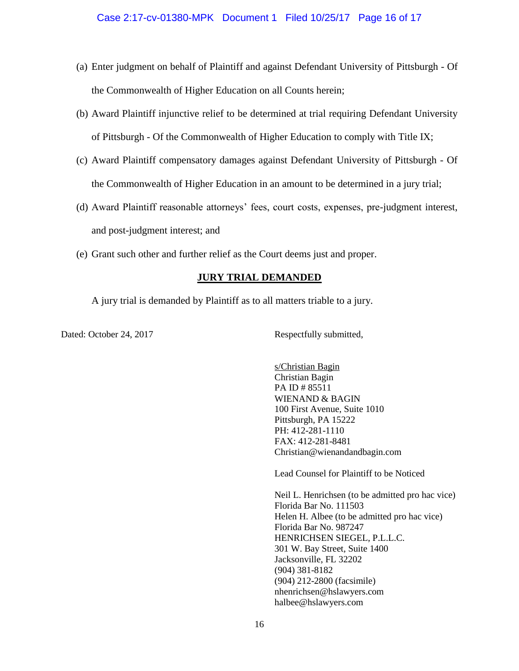- (a) Enter judgment on behalf of Plaintiff and against Defendant University of Pittsburgh Of the Commonwealth of Higher Education on all Counts herein;
- (b) Award Plaintiff injunctive relief to be determined at trial requiring Defendant University of Pittsburgh - Of the Commonwealth of Higher Education to comply with Title IX;
- (c) Award Plaintiff compensatory damages against Defendant University of Pittsburgh Of the Commonwealth of Higher Education in an amount to be determined in a jury trial;
- (d) Award Plaintiff reasonable attorneys' fees, court costs, expenses, pre-judgment interest, and post-judgment interest; and
- (e) Grant such other and further relief as the Court deems just and proper.

## **JURY TRIAL DEMANDED**

A jury trial is demanded by Plaintiff as to all matters triable to a jury.

Dated: October 24, 2017 Respectfully submitted,

s/Christian Bagin Christian Bagin PA ID # 85511 WIENAND & BAGIN 100 First Avenue, Suite 1010 Pittsburgh, PA 15222 PH: 412-281-1110 FAX: 412-281-8481 Christian@wienandandbagin.com

Lead Counsel for Plaintiff to be Noticed

Neil L. Henrichsen (to be admitted pro hac vice) Florida Bar No. 111503 Helen H. Albee (to be admitted pro hac vice) Florida Bar No. 987247 HENRICHSEN SIEGEL, P.L.L.C. 301 W. Bay Street, Suite 1400 Jacksonville, FL 32202 (904) 381-8182 (904) 212-2800 (facsimile) nhenrichsen@hslawyers.com halbee@hslawyers.com